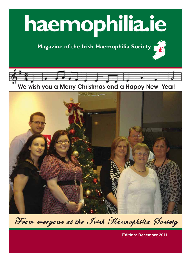# **haemophilia.ie**

## **Magazine of the Irish Haemophilia Society**





From everyone at the Irish Haemophilia Society

**Edition: December 2011**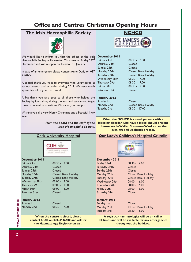#### **Office and Centres Christmas Opening Hours**

#### **The Irish Haemophilia Society NCHCD** AMES' HOSPITAL We would like to inform you that the offices of the Irish **December 2011** Haemophilia Society will close for Christmas on Friday 23rd Friday 23rd 08.30 - 16.00 December and will re-open on Tuesday 3<sup>rd</sup> January. Saturday 24th Closed Sunday 25th Closed Monday 26th Closed Bank Holiday In case of an emergency, please contact Anne Duffy on 087 Tuesday 27th Closed Bank Holiday 2320255. Wednesday 28th 08.30 - 17.00 Thursday 29th 08.30 - 17.00 A special thank you goes to everyone who volunteered at various events and activities during 2011. We very much Friday 30th 08.30 - 17.00 appreciate all of your hard work. Saturday 31st Closed A big thank you also goes to all those who helped the **January 2012** Society by fundraising during the year and we cannot forget Sunday 1st Closed those who sent in donations. We value your support. Monday 2nd Closed Bank Holiday Tuesday 3rd 08.30 – 17.00 Wishing you all a very Merry Christmas and a Peaceful New Year. **When the NCHCD is closed, patients with a**  *From the board and the staff of the*  **bleeding disorder, who have a bleed, should present** *Irish Haemophilia Society.*  **themselves to Walter Stevenson Ward as per the evenings and weekends process. Cork University Hospital Our Lady's Children's Hospital Crumlin** Digildést<br>Mhuire na Leanaí, **CUH W** 出技法 34 味好 ork University Hospit .<br>Our Lady's<br>Children's **December 2011 December 2011** Friday 23rd 08.30 - 13.00 Friday 23rd 08.30 - 17.00 Saturday 24th Closed Saturday 24th Closed Sunday 25th Closed Sunday 25th Closed Monday 26th Closed Bank Holiday Monday 26th Closed Bank Holiday Tuesday 27th Closed Bank Holiday Tuesday 27th Closed Bank Holiday Wednesday 28th 09.00 - 13.00 Wednesday 28th 08.00 - 16.00 Thursday 29th 09.00 - 13.00 Thursday 29th 08.00 - 16.00 Friday 30th 09.00 - 13.00 Friday 30th 08.00 - 16.00 Saturday 31st Closed Saturday 31st Closed **January 2012 January 2012** Sunday 1st Closed Sunday 1st Closed Monday 2nd 08.30 - 17.00 Monday 2nd Closed Bank Holiday Tuesday 3rd 08.30 - 15.00 **When the centre is closed, please A registrar haematologist will be on call at contact CUH on 021-4546400 and ask for all times and will be available for any emergencies the Haematology Registrar on call. throughout the holidays.**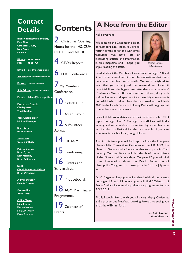## **Contact**

**Irish Haemophilia Society, First Floor, Cathedral Court, New Street, Dublin 8.**

**Phone: 01 6579900 Fax: 01 6579901**

**Email: info@haemophilia.ie**

**Website: www.haemophilia.ie**

**Editor: Debbie Greene**

**Sub Editor: Nuala Mc Auley**

**Email: debbie@haemophilia.ie**

**Executive Board: Chairperson Traci Dowling**

**Vice Chairperson Michael Davenport**

**Secretary Mary Hanney**

**Treasurer Gerard O'Reilly**

**Patrick Downey Brian Byrne Eoin Moriarty Brian O'Riordan**

**Staff: Chief Executive Officer Brian O'Mahony**

**Administrator Debbie Greene**

**Counsellor Anne Duffy**

**Office Team Nina Storey Declan Noone Nuala McAuley Fiona Brennan**



**Christmas Opening** Hours for the IHS, CUH, OLCHC and NCHCD.







7 My Members' Conference.



Youth Group.



Abroad.

14 UK AGM.

15 Fundraising.



Scholarships.



**8** AGM Preliminary Programmes.

Calendar of Events. *Debbie Greene*

## **A Note from the Editor**

Hello everyone,

Welcome to the December edition of haemophilia.ie. I hope you are all getting organised for the Christmas festivities. We have lots of interesting articles and information in this magazine and I hope you enjoy reading this issue.



*Debbie Greene, Administrator*

Read all about the Members' Conference on pages 7, 8 and 9, and what a weekend it was. The evaluations that came back from members were terrific. We were delighted to hear that you all enjoyed the weekend and found it beneficial. It was the biggest ever attendance at a members' Conference. We had 85 adults and 52 children, along with staff, volunteers and speakers. Our next big conference is our AGM which takes place the first weekend in March 2012 in the Lyrath Estate in Kilkenny. Packs will be going out to members in early January.

Brian O'Mahony updates us on various issues in his CEO report on pages 4 and 5. On pages 12 and13 you will find a moving and remarkable article written by a member who has travelled to Thailand for the past couple of years to volunteer in a school for young children.

Also in this issue you will find reports from the European Haemophilia Consortium Conference, the UK AGM, the Memorial Service and a fundraiser that took place in Cork recently. On page 16 you will find details of the recipients of the Grants and Scholarships. On page 17 you will find some information about the World Federation of Hemophilia Congress that takes place in Paris in July next year.

Don't forget to keep yourself updated with all our events on pages 18 and 19 where you will find "Calendar of Events" which includes the preliminary programme for the AGM 2012.

Finally, I would like to wish you all a very Happy Christmas and a prosperous New Year. Looking forward to seeing you all at the AGM in March.

*Administrator*

 $\bf{3}$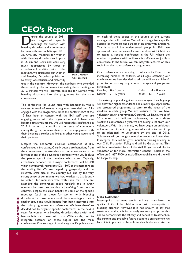#### $CEO<sub>c</sub>$ **CEO's Report**

The course of 2011,<br>
we organised specific<br>
meetings for women with<br>
bleeding disorders and a conference we organised specific meetings for women with bleeding disorders and a conference for men with haemophilia aged 18 to 35. One day meetings for women with bleeding disorders took place in Dublin and Cork and were very much appreciated by those in attendance. In addition, prior to the meetings, we circulated our Women and Bleeding Disorders publication to every obstetrician and maternity



*Brian O'Mahony Chief Executive*

unit in the country. However, the numbers who attended these meetings do not warrant repeating these meetings in 2012. Instead, we will integrate sessions for women with bleeding disorders into the programme for the main conferences.

The conference for young men with haemophilia was a success. A total of twelve young men attended and fully engaged with the programme. Since the conference, 9 of the 12 have been in contact with the IHS staff, they are engaging more with the organisation and 4 have now become active volunteers. We will repeat this conference in 2012 in order to consolidate the sense of community among this group, increase their proactive engagement with their bleeding disorder and bring in other young adults and their partners.

Despite the economic situation, attendance at IHS conferences is increasing. Clearly, people are benefiting from the conferences. The attendance at our conferences is the highest of any of the developed countries when you look at the percentage of the members who attend. Typically, attendance between the 3 major conferences will be 360 which cumulatively represent 40% - 50% of the members on the mailing list. We are helped by geography and the relatively small size of the country, but also by the very strong sense of community we have worked so assiduously to foster. Our members vote with their feet. They are attending the conferences more regularly and in larger numbers because they are clearly benefiting from them. In contrast, despite the clear benefit of some of the specific meetings (such as those for women with bleeding disorders) for those who attend, these meetings attract a smaller group and would benefit from being integrated into the main programme at conferences. We have therefore decided not to organise specific conferences in the next 3 years for women with bleeding disorders, those with mild haemophilia or those with von Willebrands, but to integrate sessions on these topics into the main conferences. Our strategy of producing specific publications

on each of these topics in the course of the current strategic plan will continue. We will also organise a specific session for members and parents of children with inhibitors. This is a small but underserved group. In 2011, we sponsored the attendance of some members with inhibitors to attend a specific conference in the UK where the number of patients with inhibitors is sufficient to justify a conference. In the future, we can integrate lectures on this topic into the main conference programme.

Our conferences are working to full capacity. Due to the increasing number of children, of all ages, attending our conferences we have decided to add an additional children's group to our existing programmes. The ages and groups are as follows:

| Creche; $0 - 3$ years, | Cubs: $4-8$ years      |
|------------------------|------------------------|
| Kidlink: 9 – 12 years, | Youth: $13 - 17$ years |

This extra group and slight variations in ages of each group will allow for higher attendance and a more age appropriate and structured programme to cater to the needs of the children in each group. We are fortunate that we have volunteer driven programmes. Currently we have a group of 30 talented and dedicated volunteers, but with three weekend conferences a year, we are asking a lot from our volunteers. With this in mind, we have begun an ambitious volunteer recruitment programme which aims to recruit up to an additional 40 volunteers by the end of 2012. Volunteers will go though a selection process and interview. If accepted, they will be given induction training, training in our Child Protection Policy and will be Garda vetted. This will be co-ordinated by 2 of the staff. If you would like to volunteer or for more information contact Nuala in the office on 01 657 9900 or nuala@haemophilia.ie and she will be happy to help.



#### **Data Collection**

Haemophilia treatment works and can transform the quality of life of the child or adult with haemophilia or bleeding disorder. However, it is not enough to say that treatment works, it is increasingly necessary to prove this and to demonstrate the efficacy and benefit of treatment. In the current and probable future economic environment we face, it is important to be able to clearly demonstrate the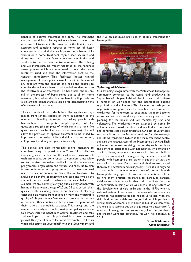benefits of optimal treatment and care. The treatment centres should be collecting evidence based data on the outcomes of treatment. This involves, in the first instance, accurate and complete reports of home use of factor concentrate. It is vital that each person with haemophilia who is on a home treatment regime keep accurate and timely records of their factor concentrate utilisation and send this to the treatment centre as required. This is being and will increasingly be greatly facilitated by the handheld smart phones which are now used to scan the home treatment used and send the information back to the centres immediately. This facilitates better clinical management of haemophilia, allows for alerts in the case of any problem with the product and helps the centres to compile the evidence based data needed to demonstrate the effectiveness of treatment. The hand held phones are still in the process of being rolled out to all on home treatment, but when this is complete it will provide an excellent and comprehensive vehicle for demonstrating the effectiveness of treatment.

The centres should also, ideally, be collecting data on days missed from school, college or work in addition to the number of bleeding episodes and asking people with haemophilia to complete simple quality of life questionnaires (the simplest of which consists of only five questions and can be filled out in two minutes). This will allow the provision of optimal treatment to be linked to improvements in quality of life and ability to attend school, college, work and fully integrate into society.

The Society are also increasingly asking members to complete surveys or questionnaires. These fall broadly into two categories. The first are the evaluation forms we ask each attendee at our conferences to complete, these allow us to receive invaluable feedback on the conference programmes, organisation and venues and allow us to plan future conferences with programmes that meet your real needs. The second surveys are data collection to allow us to analyse the benefits of treatment and care and give us the ammunition we need to advocate on your behalf. For example, we are currently carrying out a survey of men with haemophilia between the age of 20 and 35 to ascertain their quality of life including their recent history of bleeding episodes, days missed from college or work and measurable quality of life parameters. We are also carrying this survey out in nine other countries with the active co-operation of their national haemophilia societies. This survey and the results when analysed should provide compelling evidence to demonstrate the benefits of optimal treatment and care and we hope to have this published in a peer reviewed journal. This type of data collection is extremely useful to us when advocating on your behalf with the Government and

the HSE on continued provision of optimal treatment for haemophilia.



#### **Twinning with Vietnam**

Our twinning programme with the Vietnamese haemophilia community continues to be active and productive. In September of this year, I visited Hanoi to lead and facilitate a number of workshops for the haemophilia patient organisation and volunteers. This included workshops on organisation and governance for their board and executive, workshops for volunteers to encourage them to become more involved and workshops on advocacy and action planning for the board and key medical, lay staff and volunteers. The workshops were attended by some 50 volunteers and board members and resulted in some real and concrete steps being undertaken. A rota of volunteers was established at the National Institute for Haematology and Blood Transfusion (which is the main treatment centre and also the headquarters of the Haemophilia Society). Each volunteer committed to giving one full day each month to the centre to assist those with haemophilia who attend or are in patients, introduce them to each other and build a sense of community. On any given day, between 30 and 50 people with haemophilia are either in-patients or visit the centre for treatment. Both adults and children are treated there by the excellent and caring team. There is a library and a room with a computer where some of the people with haemophilia congregate. The role of the volunteers will be to give them practical assistance, to introduce parents, children and adults to each other and to facilitate the type of community building which was such a strong feature of the development of care in Ireland in the 1970's when a national system of care started. This sense of community has remained, has sustained us and helped us to deal with the difficult times and celebrate the good times. I hope that a similar sense of community will now be built in Vietnam who are really just starting out on this journey to better care. A number of peer groups for young men, older men, mothers and children were also organised. This work will continue in 2012.

> *Brian O'Mahony, Chief Executive*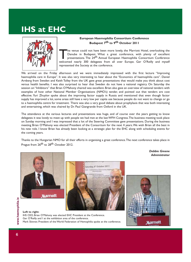## **IHS at EHC**



#### **European Haemophilia Consortium Conference Budapest 7th to 9th October 2011**

The venue could not have been more lovely, the Marriott Hotel, overlooking the<br>Danube in Budapest. What a great conference, with plenty of excellent<br>presentations. The 24<sup>th</sup> Annual European Haemophilia Consortium Conferen Danube in Budapest. What a great conference, with plenty of excellent presentations. The 24<sup>th</sup> Annual European Haemophilia Consortium Conference welcomed nearly 300 delegates from all over Europe. Ger O'Reilly and myself represented the Society at the conference.

We arrived on the Friday afternoon and we were immediately impressed with the first lecture "Improving haemophilia care in Europe". It was also very interesting to hear about the "Economics of haemophilia care". Daniel Arnberg from Sweden and Keith Tolley from the UK gave great presentations that would make you think about cost versus health benefits. I was also surprised to hear that Sweden do not have a national registry. On Saturday the session on "Inhibitors" that Brian O'Mahony chaired was excellent. Brian also gave an overview of national tenders with examples of how other National Member Organisations (NMO's) tender, and pointed out that tenders are cost effective. Yuri Zhuylov spoke about the improving factor supply in Russia and mentioned that even though factor supply has improved a lot, some areas still have a very low per capita use because people do not want to change or go to a haemophilia centre for treatment. There was also a very good debate about prophylaxis that was both interesting and entertaining, which was chaired by Dr. Paul Giangrande from Oxford in the UK.

The attendance at the various lectures and presentations was huge, and of course over the years getting to know delegates it was lovely to meet up with people we had met at the last WFH Congress. The business meeting took place on Sunday morning and I was impressed that a lot of the Steering Committee gave presentations. During the business meeting Brian O'Mahony was elected President of the Consortium for the next 4 years. We wish Brian all the best in his new role. I know Brian has already been looking at a strategic plan for the EHC along with scheduling events for the coming years.

Thanks to the Hungarian NMO for all their efforts in organising a great conference. The next conference takes place in Prague from 26<sup>th</sup> to 28<sup>th</sup> October 2012.

> *Debbie Greene Administrator*







#### **Left to right:**

IHS CEO, Brian O'Mahony was elected EHC President at the Conference. Ger O'Reilly and I at the exhibition area of the conference. Mark Skinner, President of the World Federation of Hemophilia spoke at the conference.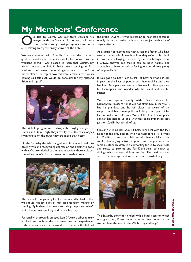## **My Members' Conference**

Our trip to Galway was our third weekend we<br>enjoyed with the Society. So not to break away<br>from tradition we got lost yet again so five hours<br>after leaving Derry we finally arrived at the hotel enjoyed with the Society. So not to break away from tradition we got lost yet again so five hours after leaving Derry we finally arrived at the hotel.

We were greeted with friendly faces and the tiredness quickly turned to excitement as we looked forward to the weekend ahead. I was pleased to learn that Orlaith, my friend I met at the clinic in Belfast was attending her first weekend. I just knew she would get as much as I do from the weekend. The topics covered were a main factor for us coming as I felt each would be beneficial for my husband Brian and myself.



The kidlink programme is always thoroughly enjoyed by Caolán and Demi-Leigh. They are fully entertained as long as swimming is on the cards they are more than happy.

On the Saturday the talks ranged from fitness and health to dealing with and recognising depression and helping to cope with it. We attended all of the talks as we feel there is always something beneficial may it even be something small.



The first talk was given by Dr. Joe Clarke and he told us that we should not let a bit of rain stop us from walking or running. My husband has been over using the phrase "what's a bit of rain" anytime I try and have a lazy day.

Personally I thoroughly enjoyed Jean O'Leary's talk, she truly inspired me on how she has overcome her experiences with depression and has learned to cope with the help of the group "Aware". It was refreshing to hear Jean speak so openly about depression as it can be a subject with a lot of stigma attached.

As a carrier of haemophilia with a son and father who have severe haemophilia A, watching how they suffer daily I think it can be challenging. Patricia Byrne, Psychologist from NCHCD, showed me that it can be both normal and acceptable to have periods of feeling low and there's plenty of help available.

It was good to hear Patricia talk of how haemophilia can impact on the lives of people with haemophilia and their families. On a personal level Caolán would often question his haemophilia and wonder why he has it and not his friends?

We always speak openly with Caolán about his haemophilia, reassure him it will not affect him in the way it has his granddad and he will always be aware of the support available. Haemophilia will always be a part of his life but will never take over. We feel the Irish Haemophilia Society has helped us deal with this topic immensely, not just for Caolán but for all of us.

Speaking with Caolán about it helps him deal with the fact he is not the only person who has haemophilia. It is great for Caolán to see other children with haemophilia at the weekends-enjoying activities, games and programmes the same as other children. It is comforting for us to speak with and relate to parents and for Demi-Leigh to speak to siblings who understand how we feel. The positivity and sense of encouragement we receive is over-whelming.



The Saturday afternoon ended with a fitness session which was great fun, if my memory serves me correctly the women beat the men in the Wii boxing challenge!

**7www.haemophilia.ie** www.haemophilia.ie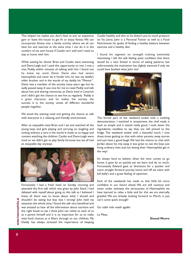This helped me realise you don't have to join an expensive gym or leave the house to get fit or enjoy fitness. We can incorporate fitness into a family activity where we all can have fun and exercise at the same time. I can do it in the comfort of my own house if Caolán isn't well and I need to stay at home with him.

While waiting for dinner Brian and Caolán went swimming and Demi-Leigh and I used this opportunity to rest. I met a man Paddy, within minutes of talking with him I found out he knew my uncle Denis. Denis also had severe haemophilia and never let it hinder him, he was my daddy's older brother and in the words of my daddy his "Mentor". Denis was a member of the society many years ago but he sadly passed away. It was nice for me to meet Paddy and talk about him and sharing memories, as Denis lived in Limerick and I didn't get the chance to see him as regularly. Paddy is a great character and he makes the society the success it is, the society unites all different wonderful people together.

We loved the evening meal and getting the chance to talk with everyone in a relaxing and friendly environment.

After an enjoyable meal Brian and I sat and watched all the young boys and girls playing and carrying on, laughing and smiling without a care in the world. It made us so happy and content watching the children. Caolán and Demi-Leigh were tired so we didn't get to play family fortunes but we all had an enjoyable day anyways.



Fortunately I had a fresh head on Sunday morning and attended the first talk which was given by John Stack. I had debated with myself about going to this talk as I believed I knew all there was to know about what I should and shouldn't be eating but boy was I wrong! John held my attention the whole time, I found the talk very beneficial and was amazed to hear all the information about nutrition and the right foods to eat. I think John can relate to each of us as a parent himself and it is so important for us to make wise food choices as it filters through to our children. My Daddy has always stressed the importance of keeping Caolán healthy and slim so he doesn't put to much pressure on his joints. John is a Personal Trainer as well as a Food Nutritionist; he spoke of finding a healthy balance between exercise and a healthy diet.

I found his segment on strength training extremely interesting. I left the talk feeling quiet confident that there would be a new Sinéad in terms of eating patterns, but unfortunately the motivation has slightly wavered if only we could have bottled what John has!



The formal part of the weekend ended with a cooking demonstration. I watched in amazement, the chef made it look so simple and it tasted really good. I took down the ingredients; needless to say they are still pinned to the fridge. The weekend ended with a beautiful lunch, I love these times getting to chat with other parents, swap stories and just have a good laugh. We had the chance to chat with Jordan about his trip away, it was great to see the boys just living ordinary lives and not letting their Haemophilia get in the way!

It's always hard to believe when the time comes to go home, it goes by so quickly yet we learn and do so much. Fortunately Edward gave us directions for a quicker and more straight forward journey home and off we went with full belly's and a great feeling of optimism.

Each of the weekends has made us that little bit more confident in our future ahead. We are still cautious and never under estimate the seriousness of Haemophilia we have learned to relax a little and for this we are eternally grateful. We are already looking forward to March, it just can't come quick enough!

Go raibh mile maith agaibh

Le Meas,

**Sinead Moore**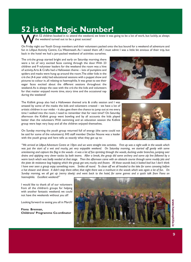## **52 is the Magic Number!**

ith 52 children booked in to attend the weekend, we knew it was going to be a lot of work, but luckily, as always the weekend turned out to be a great success!

On Friday night our Youth Group members and their volunteers packed onto the bus bound for a weekend of adventure and fun in Lilliput Activity Centre, Co. Westmeath. As I waved them off, I must admit I was a little bit envious of their trip, but back in the hotel we had a jam-packed weekend of activities ourselves.

The crè che group started bright and early on Saturday morning; there were a lot of very excited faces coming through the door. With 23 children and 9 volunteer leaders for the weekend the room was a hive of activity. Arts & Crafts had a Halloween theme – lots of pumpkins and spiders and masks were hung up around the room. The older kids in the crè che (4-6 year olds) had educational sessions with a puppet show and pictures to colour in, all relating to haemophilia. It was great to see their eager faces excited about the different sessions throughout the weekend. As is always the case with the crè che the kids and volunteers for that matter enjoyed movie time, story time and the occasional nap during the weekend!

The Kidlink group also had a Halloween themed arts & crafts session and I was amazed by some of the masks the kids and volunteers created – we have a lot of artistic children in our midst – it also gave them the chance to jump out at me every time I walked into the room, I need to remember that for next time!! On Saturday afternoon the Kidlink group went bowling and by all accounts the kids played better than the volunteers. With swimming and an education session the Kidlink group were kept very busy and all the children enjoyed themselves.





with the youth group and here tells us exactly what they got up to: On Sunday morning the youth group returned full of energy (the same could not be said for some of the volunteers). IHS staff member Declan Noone was a leader

*"We arrived at Lilliput Adventure Centre at 10pm and we were straight into activities. First up was a night walk in the woods which was just the start of a wet and mucky, yet very enjoyable weekend. On Saturday morning, we started off gently with some orienteering and capture the flag in the woods - it was a lot of fun sprinting through the woods, ducking under branches, jumping over drains and applying very clever tactics by both teams. After a break, the group did some archery and some zip line followed by a warm lunch which was badly needed at that stage. Then the afternoon came with an obstacle course through some muddy pits and the piste de resistance bog hopping which the group got wet, mucky and frozen. All those sounds bad, it looked bad but I don't think I have ever seen a group enjoy something more. Smiles all round. To clean off we all headed to the lake for some canoeing before a hot shower and dinner. It didn't stop there either, that night there was a manhunt in the woods which was again a lot of fun. On Sunday morning, we all got up (verrry slowly) and went back to the hotel, for some games and a quick talk from Fiona on haemophila. Excellent weekend!"*

I would like to thank all of our volunteers from all the children's groups for helping with another fantastic weekend; we could not have the weekends without you all!

Looking forward to seeing you all in March!

**Fiona Brennan, Childrens' Programme Co-ordinator**

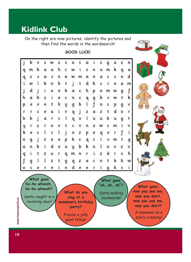## **Kidlink Club**

On the right are nine pictures, identify the pictures and then find the words in the wordsearch!

**GOOD LUCK!**

|         | b |   | S | w | z | S | ۰ | S | a | i | z | g | ٥ | z | n                         |
|---------|---|---|---|---|---|---|---|---|---|---|---|---|---|---|---------------------------|
| q       | m | h | α | a | h | c | w | i | z | n | u | m | k | q | α                         |
| q       | z | S | a | S | n | ٥ | w | m | a | n | a | c | c | n | d                         |
| i       | W |   | b | n | b | t | j | t | d | k | c | i | n | a | m                         |
| j       | d | j | i | ٥ | e | k | a | c | h | p | ٥ | m | W | g | $\boldsymbol{\mathsf{f}}$ |
| h       | a | b | z | i | e | c | n | с | q | g | b | v | w | t | k                         |
| p       | e | ٧ | n | t | h | y | g | b | ι | f | n | S | p | g | V                         |
| r       | r | C | e | a | i | ٧ | q | j | z | α | z | t | d | o | r                         |
| b       | b | i | a | r | S | ι | q | x | ι | u | u | b | u | q | t                         |
| y       | r | z | r | о |   | t | c | ٧ | n | x | w | S | m | i | ٧                         |
| k       | e | c |   | c |   | i | ٥ | z | p | ۰ | q | X |   |   | ί                         |
| n       | g |   | z | e | e | p | k | c | q | S | i | ٧ | m | t | g                         |
| a       | n | k | i | d | e | u | y | b | k | n |   | Ο | ٧ | z | ٧                         |
| q       | i | t | z | u | r | q | m | n | r | i | z | d | r | c | h                         |
| f       | g |   | ι | z | t | 9 | q | z | α | c | n | t | b | h | W                         |
| $\circ$ | C | e | r | e | i | n | d | e | e | r | i | a | k | C | i                         |



**What do you sing at a snowman's birthday party?** Freeze a jolly good fellow!

Santa walking backwards!

**What goes: now you see me, now you don't, now you see me, now you don't?**

A snowman on a zebra crossing!

www.haemophilia.ie **10www.haemophilia.ie**

10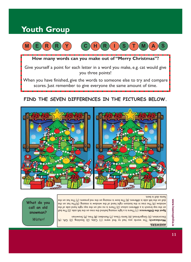## **Youth Group**



When you have finished, give the words to someone else to try and compare scores. Just remember to give everyone the same amount of time.

#### **FIND THE SEVEN DIFFERENCES IN THE PICTURES BELOW.**



#### Santa doll is bent.

**Spot the Difference:** (1) The ball as a light missing behind the teree on the left side. (2) The ball on the top branch is a different colour. (3) There is no nian on the top right hand side of the window. (4) The tree in the bottom right hand of the window is missing. (5)The hat on the doll on the left side is different. (6) The bow is missing on the red present. (7) The hat on the

Wordsearch: The words you had to find were: (1) Cake, (2) Stocking, (3) Gift, (4)

Decoration, (5) Gingerbread, (6) Santa Claus, (1) Reindeer, (8) Iree, (9) Snowman

**What do you call an old snowman?**

Water!

#### **ANSWERS:**

www.haemophilia.ie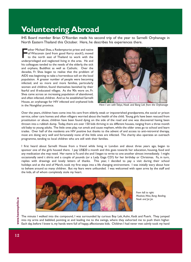## **Volunteering Abroad**

IHS Board member Brian O'Riordan made his second trip of the year to Sarnelli Orphanage in North Eastern Thailand this October. Here, he describes his experiences there.

ather Michael Shea, a Redemptorist priest and native<br>of Wisconsin (and from good Kerry stock!), moved<br>to the north east of Thailand to work with the<br>underprivileged and neglected living in the area. He and ather Michael Shea, a Redemptorist priest and native of Wisconsin (and from good Kerry stock!), moved to the north east of Thailand to work with the his colleagues tended to the needs of the elderly, the sick and orphans, Buddhist as well as Catholic. Over the decades, Fr. Shea began to realise that the problem of AIDS was beginning to take a horrendous toll on the local population. A greater number of people were becoming infected, and so more and more families, particularly women and children, found themselves banished by their fearful and ill-educated villages. As the 90s wore on, Fr. Shea came across an increasing population of abandoned, and often infected, children. And so he established Sarnelli House, an orphanage for HIV infected and orphaned kids in the Nongkhai province.



*Here I am with Tokyo, Nook and Bang Lek from the Orphanage*

Over the years, children have come into his care from elderly, weak or impoverished grandparents, the social or prison service, other care homes and often villagers worried about the health of the child. Young girls have been rescued from prostitution or abuse, children have been found dying on the side of the road and one was discovered having been thrown into a rubbish dump. Today, there are over 150 kids thriving in six different houses, ranging from a three month old baby to young adults. The little ones play, run amok and cause mayhem, while the older ones go to school and learn trades. Over half of the residents are HIV positive but thanks to the advent of and access to anti-retroviral therapy, most are doing very well and fortunately none of the little ones are infected. The charity also operates an outreach programme, tending to local children who are still with their families.

I first heard about Sarnelli House from a friend while living in London and about three years ago, began to sponsor one of the girls housed there. I pay US\$20 a month and this goes towards her education, housing, food and any medication she may need. Her name is Fa and she and I began to write to one another almost immediately. I might occasionally send t shirts and a couple of pounds (or a Lady Gaga CD!) for her birthday or Christmas. Fa, in turn, replies with drawings and lovely letters of thanks. This year, I decided to pay a visit during their school holidays and at the end of March, took my first steps into a life changing environment. I was initially wary about how to behave around so many children. But my fears were unfounded. I was welcomed with open arms by the staff and the kids, all of whom completely stole my heart.



*From left to right: Mooksie, Wow, Bang. Bowling, Nook and Joi Joi.*

The minute I walked into the compound, I was surrounded by curious Boy Lek, Auhn, Kedt and Puerk. They jumped into my arms and babbled, pointing at and leading me to the swings, where they exhorted me to push them higher. Each day, before I knew it, my hands were full of happy, affectionate kids. Children I had never met calmly took my hand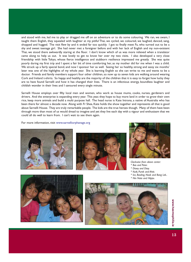and stood with me, led me to play or dragged me off on an adventure or to do some colouring. We ran, we swam, I taught them English, they squealed with laughter at my pitiful Thai, we cycled, we coloured, we laughed, danced, sang, shopped and hugged. The visit flew by and it ended far too quickly. I got to finally meet Fa, who turned out to be a shy and sweet teenage girl. She had never met a foreigner before and with her lack of English and my non-existent Thai, we stood there awkwardly staring at the floor. I don't know which of us was more relieved when a translator came along to help us out. It was lovely to get to know her over my two visits. I also developed a very close friendship with little Tokyo, whose fierce intelligence and stubborn resilience impressed me greatly. She was quite poorly during my first trip and I spent a fair bit of time comforting her, as my mother did for me when I was a child. We struck up a fairly special bond, and now I sponsor her as well. Seeing her so healthy, strong and sassy six months' later was one of the highlights of my whole year. She is learning English so she can write to me and wants to be a doctor. Friends and family members support four other children, so now up to seven kids are walking around wearing Cork and Ireland t-shirts. So happy and healthy are the majority of the children that it is easy to forget how lucky they are to have found Sarnelli and how it has changed their lives. There is an infectious energy, boundless laughter and childish wonder in their lives and I savoured every single minute.

Sarnelli House employs over fifty local men and women, who work as house mums, cooks, nurses, gardeners and drivers. And the enterprise is expanding every year. This year, they hope to buy more land in order to grow their own rice, keep more animals and build a multi purpose hall. The head nurse is Kate Introna, a native of Australia who has been there for almost a decade now. Along with Fr Shea, Kate holds the show together and represents all that is good about Sarnelli House. They are truly remarkable people. The kids are the true heroes though. Many of them have been through more than most of us would dread to imagine and yet they live each day with a vigour and enthusiasm that we could all do well to learn from. I can't wait to see them again.

For more information, visit www.sarnelliorphanage.org







*Clockwise from above center:*

- *\* Bas and Peter.*
- *\* Dtoey and Dtay.*
- *\* Kedt, Purek and Ahtit.*
- *\* Ice, Bowling, Nook and Bang Lek..*
- *\* Nin Nate and Hippo.*





**13www.haemophilia.ie** www.haemophilia 능.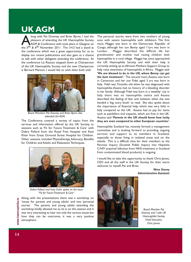## **UK AGM**

long with Pat Downey and Brian Byrne, I had the pleasure of attending the UK Haemophilia Society AGM & Conference with took place in Glasgow on the 5<sup>th</sup> & 6<sup>th</sup> November 2011. The I.H.S had a stand at pleasure of attending the UK Haemophilia Society AGM & Conference with took place in Glasgow on the conference which was a great opportunity for us to display our recent publications and also gave us a chance to talk with other delegates attending the conference. At the conference Liz Rizzuto stepped down as Chairperson of the UK Haemophilia Society and the new Chairperson is Bernard Manson, I would like to wish them both well.



*Board Members Pat Downey and Brian Byrne also attended the AGM.*

The Conference covered a variety of topics from the services and information offered by the UK Society, to sessions such as 'Fit for Future Treatment & Care' with Debra Pollard from the Royal Free Hospital and Kate Khair from Great Ormond Street Hospital for Children. Other sessions included Physiotherapy, Advocacy, Benefits for Children and Adults and Relaxation Techniques.



*Debra Pollard and Kate Kahir spoke on the issue "Fit for Future Treatment & Care"*

Along with the presentations there was a workshop on 'issues for parents and young adults' and two 'personal stories'. The parents and young adults attending the workshop kindly allowed me to sit in on this session and it was very interesting to hear not only the various issues but how they can be overcome, it was a very positive atmosphere.

The personal stories were from two mothers of young sons with severe haemophilia with inhibitors. The first mum, Maggie was born in the Democratic Republic of Congo, although her son Benny aged 11yrs was born in London. Maggie described the difficult life her grandmother and mother had raising children with haemophilia in a rural village. Maggie has since approached the UK Haemophilia Society and with their help is currently setting up an Africans Mothers Support Group to help raise awareness of haemophilia in Africa. Maggie said *'We are blessed to be in the UK, where Benny can get the best treatment'***.** The second mum, Assana was born in Cameroon and her son Fidel, aged 3 yrs was born in Italy. Fidel was 7months old when he was diagnosed with haemophilia; Assana had no history of a bleeding disorder in her family. Although Fidel was born in a 'wealthy' city in Italy there was no haemophilia centre and Assana described the feeling of fear and isolation when she was handed a 'big, scary book' to read. She also spoke about the importance of financial help, which was very little in Italy compared to the UK. Assana had to pay for items such as painkillers and icepacks, which are free in the UK. Assana said *'Parents in the UK should know how lucky they are even compared to other European countries'.*

Haemophilia Scotland has recently formed a management committee and is looking forward to providing ongoing services and support to its members in Scotland, especially to those living in isolated areas and on the islands. This is a difficult time for their members as the Penrose Inquiry (Scottish Public Inquiry into Hepatitis C/HIV acquired infection from NHS treatment in Scotland from contaminated blood products) is ongoing.

I would like to take this opportunity to thank Chris James, CEO and all the staff in the UK Society for their warm welcome to myself, Pat and Brian.



*Nina Storey Administrative Assistant*

*Board Member Pat Downey and I with UK Haemophilia Society Chief Executive, Chris James.*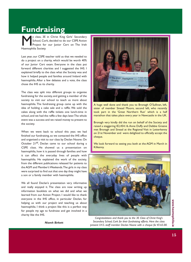## **Fundraising**

y class, 3E in Christ King Girls' Secondary School, Cork, decided to do our CSPE Action Project for our Junior Cert on The Irish Haemophilia Society.

Last year, our CSPE teacher told us that we needed to do a project on a charity, which would be worth 40% of our Junior Cert exam. Everyone in the class put forward different charities and I suggested the IHS. I explained briefly to the class what the Society was and how it helped people and families around Ireland with haemophilia. After a few debates and a vote, the class chose the IHS as its charity.

The class was split into different groups to organise fundraising for the society, and getting a member of the society to visit our school to teach us more about haemophilia. The fundraising group came up with the idea of holding a cake sale and a raffle. We sold the cakes along with the raffle tickets one lunch-time in school, and we had the raffle a few days later. The whole event was a success and we raised money to present to the society.

When we went back to school this year, we had finished our fundraising, so we contacted the IHS office and organised a visit to our class by Declan Noone. On October 21<sup>st</sup>, Declan came to our school during a CSPE class. He showed us a presentation on haemophilia, how it is passed through families and how it can affect the everyday lives of people with haemophilia. He explained the work of the society, from the different publications released for patients to the AGM and Member's Weekends. The girls in my class were surprised to find out that one day they might have a son or a family member with haemophilia.

We all found Declan's presentation very informative and really enjoyed it. The class are now writing up information booklets on what we did and what we learned from our Action Project. I would like to thank everyone in the IHS office, in particular Declan, for helping us with our project and teaching us about haemophilia. I think a project like this is a perfect way for people my age to fundraise and get involved in a charity like the IHS.



A huge well done and thank you to Bronagh O'Sullivan, left, sister of member Sinead Moore, second left, who recently took part in the 'Great Northern Run' which is a half marathon that takes place every year in Newcastle in the UK.

Bronagh very kindly did the run on behalf of the Society and raised a staggering €2,454.16. Anne Duffy and Debbie Greene met Bronagh and Sinead at the Regional Visit in Letterkenny on 21st November and were delighted to officially accept the cheque.

We look forward to seeing you both at the AGM in March in Kilkenny.



*Congratulations and thank you to the 3E Class of Christ King's Secondary School, Cork for their fundraising efforts. Here the class present I.H.S. staff member Declan Noone with a cheque for €165.00.*

www.haemophilia. **15www.haemophilia.ie** .<br>하

*Niamh Birkett*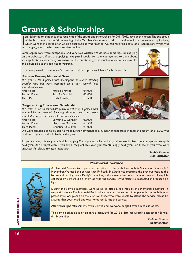## **Grants & Scholarships**

If am delighted to announce that recipients of the of the board met on the Friday evening of the which were then scored after which a final decencouraging, a lot of which were received online. am delighted to announce that recipients of the grants and scholarships for 2011/2012 have been chosen. The sub group of the board met on the Friday evening of the October Conference, to discuss and adjudicate the various applications, which were then scored after which a final decision was reached. We had received a total of 21 applications which was

Some applications were exceptional and very well written. We do have some tips for applying on the website, so if you are applying next year I would like to encourage you to think about your application, check for typos, answer all the questions, give as much information as possible, and please fill out the application yourself.



I am now pleased to announce first, second and third place recipients for both awards:

#### **Maureen Downey Memorial Grant**

*This grant is for a person with haemophilia or related bleeding disorder, who has been accepted on a post second level educational course.*

| First Place:  | <b>Patrick Browne</b> | €4,000 |
|---------------|-----------------------|--------|
| Second Place: | Sean McDonald         | €2,000 |
| Third Place:  | Linda Coakley         | €1,500 |

#### **Margaret King Educational Scholarship**

*This grant is for an immediate family member of a person with haemophilia or related bleeding disorder, who has been accepted on a post second level educational course.* 

First Place: Lorraine O'Connor €2,000 Second Place: MaryRose McCann €1,500 Third Place: Christina O'Sullivan €1,000



We were pleased also to be able to make further payments to a number of applicants. In total an amount of €18,000 was paid out to grants and scholarships this year.

As you can see, it is very worthwhile applying. These grants really do help, and we would like to encourage you to apply next year. Don't forget even if you are a recipient this year, you can still apply next year. For those of you, who were unsuccessful, please try again next year.

> *Debbie Greene Administrator*



**Memorial Service**

A Memorial Service took place in the offices of the Irish Haemophilia Society on Sunday 6<sup>th</sup> November. We used the service that Fr. Paddy McGrath had prepared the previous year, as the hymns and readings were Paddy's favourites, and we wanted to honour him in some small way. His colleague Fr. Bernard did a lovely job with the service; it was reflective, respectful and focused on light.

During the service members were asked to place a red rose at the Memorial Sculpture in respectful silence. The Memorial Book, which contains the names of people with haemophilia who passed away, was placed on the altar. For those who were unable to attend the service, please be assured that your loved one was honoured during the service.

Afterwards light refreshments were served and everyone mingled over a nice cup of tea.

This service takes place on an annual basis, and for 2012 a date has already been set for Sunday 4<sup>th</sup> November.

*Debbie Greene Administrator*

www.haemophilia.ie **16www.haemophilia.ie**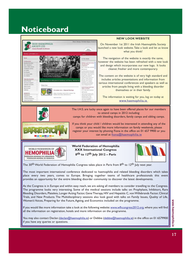## **Noticeboard**



You may also contact Declan (declan@haemophilia.ie) or Debbie (debbie@haemophilia.ie) in the office on 01 6579900 if you have any queries or questions.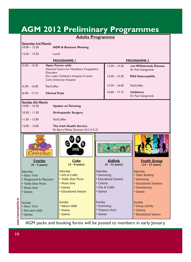## **AGM 2012 Preliminary Programmes**

|                                                                                                       | <b>Adults Programme</b>                                                                                              |                                                                                                                                              |                                                                    |                                                                                                                                                                                                                                               |  |  |  |  |  |
|-------------------------------------------------------------------------------------------------------|----------------------------------------------------------------------------------------------------------------------|----------------------------------------------------------------------------------------------------------------------------------------------|--------------------------------------------------------------------|-----------------------------------------------------------------------------------------------------------------------------------------------------------------------------------------------------------------------------------------------|--|--|--|--|--|
| <b>Saturday 3rd March:</b>                                                                            |                                                                                                                      |                                                                                                                                              |                                                                    |                                                                                                                                                                                                                                               |  |  |  |  |  |
| $10.00 - 12.30$<br><b>AGM &amp; Business Meeting</b>                                                  |                                                                                                                      |                                                                                                                                              |                                                                    |                                                                                                                                                                                                                                               |  |  |  |  |  |
| $12.30 - 13.30$<br>Lunch                                                                              |                                                                                                                      |                                                                                                                                              |                                                                    |                                                                                                                                                                                                                                               |  |  |  |  |  |
| <b>PROGRAMME I</b><br><b>PROGRAMME 2</b>                                                              |                                                                                                                      |                                                                                                                                              |                                                                    |                                                                                                                                                                                                                                               |  |  |  |  |  |
| $13.30 - 15.30$<br><b>Disorders</b>                                                                   |                                                                                                                      | $13.30 - 14.30$                                                                                                                              | von Willebrands Disease<br>Dr. Paul Giangrande<br>Mild Haemophilia |                                                                                                                                                                                                                                               |  |  |  |  |  |
|                                                                                                       |                                                                                                                      |                                                                                                                                              |                                                                    |                                                                                                                                                                                                                                               |  |  |  |  |  |
| $15.30 - 16.00$                                                                                       |                                                                                                                      | $15.30 - 16.00$                                                                                                                              | Tea/Coffee                                                         |                                                                                                                                                                                                                                               |  |  |  |  |  |
| $16.00 - 17.15$                                                                                       |                                                                                                                      | $16.00 - 17.15$                                                                                                                              | <b>Inhibitors</b><br>Dr. Paul Giangrande                           |                                                                                                                                                                                                                                               |  |  |  |  |  |
|                                                                                                       |                                                                                                                      |                                                                                                                                              |                                                                    |                                                                                                                                                                                                                                               |  |  |  |  |  |
| $10.00 - 10.30$<br><b>Update on Twinning</b>                                                          |                                                                                                                      |                                                                                                                                              |                                                                    |                                                                                                                                                                                                                                               |  |  |  |  |  |
| $10.30 - 11.30$<br><b>Orthopaedic Surgery</b>                                                         |                                                                                                                      |                                                                                                                                              |                                                                    |                                                                                                                                                                                                                                               |  |  |  |  |  |
| $11.30 - 12.00$<br>Tea/Coffee                                                                         |                                                                                                                      |                                                                                                                                              |                                                                    |                                                                                                                                                                                                                                               |  |  |  |  |  |
| $12.00 - 13.00$<br><b>The Irish Health Service</b><br>Dr. Barry White, Director, N.C.H.C.D.           |                                                                                                                      |                                                                                                                                              |                                                                    |                                                                                                                                                                                                                                               |  |  |  |  |  |
| weche                                                                                                 | <b>IHS</b>                                                                                                           |                                                                                                                                              |                                                                    |                                                                                                                                                                                                                                               |  |  |  |  |  |
| <u>Creche</u><br>$(0 - 3$ years)                                                                      | <b>Cubs</b><br>$(4 - 8$ years)                                                                                       |                                                                                                                                              | <u>Kidlink</u><br>$(9 - 12$ years)                                 | <b>Youth Group</b><br>$(13 - 17$ years)                                                                                                                                                                                                       |  |  |  |  |  |
| Saturday<br>• Story Time<br>• Playground & Playroom<br>• Teddy Bear Picnic<br>• Movie time<br>• Games | <b>Saturday</b><br>• Arts & Crafts<br>• Teddy Bear Picnic<br>• Movie time<br>• Games<br><b>• Educational Session</b> |                                                                                                                                              |                                                                    | Saturday<br>• Team Building<br>• Swimming<br>• Educational Sessions<br>• Orienteering<br>• Games                                                                                                                                              |  |  |  |  |  |
| Sunday<br>• Story Time<br>• Arts and crafts<br>• Games                                                | <b>Sunday</b><br>• Nature Walk<br>• Drama<br>• Games                                                                 |                                                                                                                                              |                                                                    | Sunday<br>• Group activity<br>• Cinema<br>• Educational Session                                                                                                                                                                               |  |  |  |  |  |
|                                                                                                       | <b>Sunday 4th March:</b>                                                                                             | <b>Open Forum with:</b><br>Our Lady's Children's Hospital Crumlin<br><b>Cork University Hospital</b><br>Tea/Coffee<br><b>Clinical Trials</b> | National Centre for Hereditary Coagulation                         | $14.30 - 15.30$<br>Saturday<br>• Swimming<br>• Educational Session<br>• Cinema<br>• Arts & Crafts<br>• Games<br>Sunday<br>• Swimming<br>• Treasure Hunt<br>• Games<br>AGM packs and booking forms will be posted to members in early January. |  |  |  |  |  |

AGM packs and booking forms will be posted to members in early January.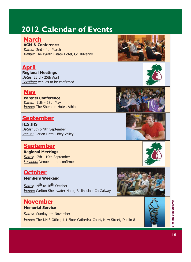## **2012 Calendar of Events**

### **March**

#### **AGM & Conference**

Dates: 2nd - 4th March Venue: The Lyrath Estate Hotel, Co. Kilkenny

## **April**

#### **Regional Meetings**

Dates: 23rd - 25th April Location: Venues to be confirmed

#### **May**

**Parents Conference** Dates: 11th - 13th May Venue: The Sheraton Hotel, Athlone

#### **September**

**HIS IHS** Dates: 8th & 9th September Venue: Clarion Hotel Liffey Valley

#### **September**

#### **Regional Meetings** Dates: 17th - 19th September Location: Venues to be confirmed

#### **October Members Weekend**

Dates: 14<sup>th</sup> to 16<sup>th</sup> October Venue: Carlton Shearwater Hotel, Ballinasloe, Co Galway

#### **November**

#### **Memorial Service**

Dates: Sunday 4th November

Venue: The I.H.S Office, 1st Floor Cathedral Court, New Street, Dublin 8











**19www.haemophilia.ie** 19

www.haemophilia.ie